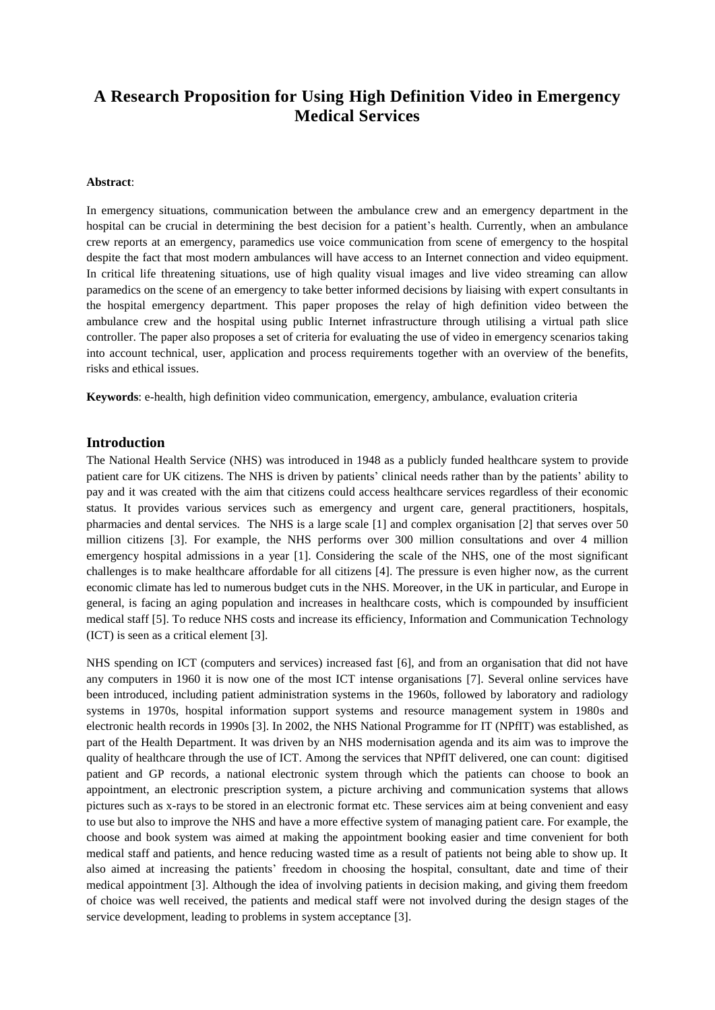# **A Research Proposition for Using High Definition Video in Emergency Medical Services**

#### **Abstract**:

In emergency situations, communication between the ambulance crew and an emergency department in the hospital can be crucial in determining the best decision for a patient's health. Currently, when an ambulance crew reports at an emergency, paramedics use voice communication from scene of emergency to the hospital despite the fact that most modern ambulances will have access to an Internet connection and video equipment. In critical life threatening situations, use of high quality visual images and live video streaming can allow paramedics on the scene of an emergency to take better informed decisions by liaising with expert consultants in the hospital emergency department. This paper proposes the relay of high definition video between the ambulance crew and the hospital using public Internet infrastructure through utilising a virtual path slice controller. The paper also proposes a set of criteria for evaluating the use of video in emergency scenarios taking into account technical, user, application and process requirements together with an overview of the benefits, risks and ethical issues.

**Keywords**: e-health, high definition video communication, emergency, ambulance, evaluation criteria

## **Introduction**

The National Health Service (NHS) was introduced in 1948 as a publicly funded healthcare system to provide patient care for UK citizens. The NHS is driven by patients' clinical needs rather than by the patients' ability to pay and it was created with the aim that citizens could access healthcare services regardless of their economic status. It provides various services such as emergency and urgent care, general practitioners, hospitals, pharmacies and dental services. The NHS is a large scale [\[1\]](#page-8-0) and complex organisation [\[2\]](#page-8-1) that serves over 50 million citizens [\[3\].](#page-8-2) For example, the NHS performs over 300 million consultations and over 4 million emergency hospital admissions in a year [\[1\].](#page-8-0) Considering the scale of the NHS, one of the most significant challenges is to make healthcare affordable for all citizens [\[4\].](#page-8-3) The pressure is even higher now, as the current economic climate has led to numerous budget cuts in the NHS. Moreover, in the UK in particular, and Europe in general, is facing an aging population and increases in healthcare costs, which is compounded by insufficient medical staf[f \[5\].](#page-8-4) To reduce NHS costs and increase its efficiency, Information and Communication Technology (ICT) is seen as a critical element [\[3\].](#page-8-2)

NHS spending on ICT (computers and services) increased fast [\[6\],](#page-8-5) and from an organisation that did not have any computers in 1960 it is now one of the most ICT intense organisations [\[7\].](#page-8-6) Several online services have been introduced, including patient administration systems in the 1960s, followed by laboratory and radiology systems in 1970s, hospital information support systems and resource management system in 1980s and electronic health records in 1990s [\[3\].](#page-8-2) In 2002, the NHS National Programme for IT (NPfIT) was established, as part of the Health Department. It was driven by an NHS modernisation agenda and its aim was to improve the quality of healthcare through the use of ICT. Among the services that NPfIT delivered, one can count: digitised patient and GP records, a national electronic system through which the patients can choose to book an appointment, an electronic prescription system, a picture archiving and communication systems that allows pictures such as x-rays to be stored in an electronic format etc. These services aim at being convenient and easy to use but also to improve the NHS and have a more effective system of managing patient care. For example, the choose and book system was aimed at making the appointment booking easier and time convenient for both medical staff and patients, and hence reducing wasted time as a result of patients not being able to show up. It also aimed at increasing the patients' freedom in choosing the hospital, consultant, date and time of their medical appointment [\[3\].](#page-8-2) Although the idea of involving patients in decision making, and giving them freedom of choice was well received, the patients and medical staff were not involved during the design stages of the service development, leading to problems in system acceptance [\[3\].](#page-8-2)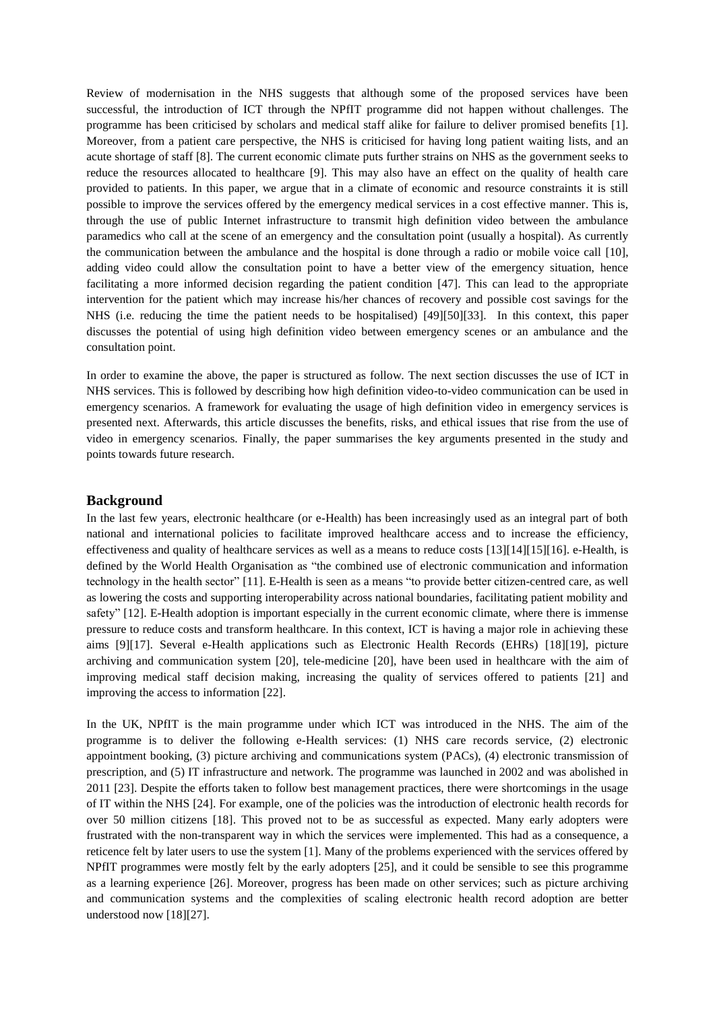Review of modernisation in the NHS suggests that although some of the proposed services have been successful, the introduction of ICT through the NPfIT programme did not happen without challenges. The programme has been criticised by scholars and medical staff alike for failure to deliver promised benefits [\[1\].](#page-8-0) Moreover, from a patient care perspective, the NHS is criticised for having long patient waiting lists, and an acute shortage of staff [\[8\].](#page-8-7) The current economic climate puts further strains on NHS as the government seeks to reduce the resources allocated to healthcare [\[9\].](#page-8-8) This may also have an effect on the quality of health care provided to patients. In this paper, we argue that in a climate of economic and resource constraints it is still possible to improve the services offered by the emergency medical services in a cost effective manner. This is, through the use of public Internet infrastructure to transmit high definition video between the ambulance paramedics who call at the scene of an emergency and the consultation point (usually a hospital). As currently the communication between the ambulance and the hospital is done through a radio or mobile voice call [\[10\],](#page-8-9) adding video could allow the consultation point to have a better view of the emergency situation, hence facilitating a more informed decision regarding the patient condition [\[47\].](#page-10-0) This can lead to the appropriate intervention for the patient which may increase his/her chances of recovery and possible cost savings for the NHS (i.e. reducing the time the patient needs to be hospitalised) [\[49\]\[50\]](#page-10-1)[\[33\].](#page-9-0) In this context, this paper discusses the potential of using high definition video between emergency scenes or an ambulance and the consultation point.

In order to examine the above, the paper is structured as follow. The next section discusses the use of ICT in NHS services. This is followed by describing how high definition video-to-video communication can be used in emergency scenarios. A framework for evaluating the usage of high definition video in emergency services is presented next. Afterwards, this article discusses the benefits, risks, and ethical issues that rise from the use of video in emergency scenarios. Finally, the paper summarises the key arguments presented in the study and points towards future research.

### **Background**

In the last few years, electronic healthcare (or e-Health) has been increasingly used as an integral part of both national and international policies to facilitate improved healthcare access and to increase the efficiency, effectiveness and quality of healthcare services as well as a means to reduce costs [\[13\]\[14\]](#page-8-10)[\[15\]\[16\].](#page-8-11) e-Health, is defined by the World Health Organisation as "the combined use of electronic communication and information technology in the health sector" [\[11\].](#page-8-12) E-Health is seen as a means "to provide better citizen-centred care, as well as lowering the costs and supporting interoperability across national boundaries, facilitating patient mobility and safety" [\[12\].](#page-8-13) E-Health adoption is important especially in the current economic climate, where there is immense pressure to reduce costs and transform healthcare. In this context, ICT is having a major role in achieving these aims [\[9\]\[17\].](#page-8-8) Several e-Health applications such as Electronic Health Records (EHRs) [\[18\]\[19\],](#page-8-14) picture archiving and communication system [\[20\],](#page-8-15) tele-medicine [\[20\],](#page-8-15) have been used in healthcare with the aim of improving medical staff decision making, increasing the quality of services offered to patients [\[21\]](#page-8-16) and improving the access to information [\[22\].](#page-8-17)

In the UK, NPfIT is the main programme under which ICT was introduced in the NHS. The aim of the programme is to deliver the following e-Health services: (1) NHS care records service, (2) electronic appointment booking, (3) picture archiving and communications system (PACs), (4) electronic transmission of prescription, and (5) IT infrastructure and network. The programme was launched in 2002 and was abolished in 2011 [\[23\].](#page-9-1) Despite the efforts taken to follow best management practices, there were shortcomings in the usage of IT within the NHS [\[24\].](#page-9-2) For example, one of the policies was the introduction of electronic health records for over 50 million citizens [\[18\].](#page-8-14) This proved not to be as successful as expected. Many early adopters were frustrated with the non-transparent way in which the services were implemented. This had as a consequence, a reticence felt by later users to use the system [\[1\].](#page-8-0) Many of the problems experienced with the services offered by NPfIT programmes were mostly felt by the early adopters [\[25\],](#page-9-3) and it could be sensible to see this programme as a learning experience [\[26\].](#page-9-4) Moreover, progress has been made on other services; such as picture archiving and communication systems and the complexities of scaling electronic health record adoption are better understood no[w \[18\]\[27\].](#page-8-14)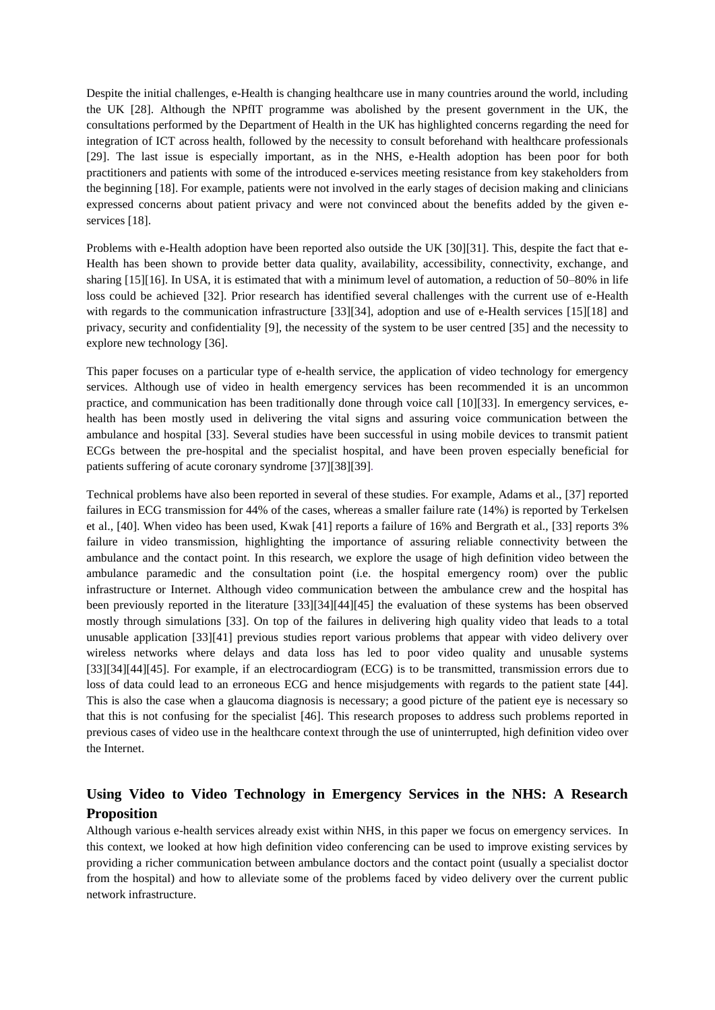Despite the initial challenges, e-Health is changing healthcare use in many countries around the world, including the UK [\[28\].](#page-9-5) Although the NPfIT programme was abolished by the present government in the UK, the consultations performed by the Department of Health in the UK has highlighted concerns regarding the need for integration of ICT across health, followed by the necessity to consult beforehand with healthcare professionals [\[29\].](#page-9-6) The last issue is especially important, as in the NHS, e-Health adoption has been poor for both practitioners and patients with some of the introduced e-services meeting resistance from key stakeholders from the beginning [\[18\].](#page-8-14) For example, patients were not involved in the early stages of decision making and clinicians expressed concerns about patient privacy and were not convinced about the benefits added by the given eservices [18].

Problems with e-Health adoption have been reported also outside the UK [\[30\]\[31\].](#page-9-7) This, despite the fact that e-Health has been shown to provide better data quality, availability, accessibility, connectivity, exchange, and sharing [\[15\]\[16\].](#page-8-11) In USA, it is estimated that with a minimum level of automation, a reduction of 50–80% in life loss could be achieved [\[32\].](#page-9-8) Prior research has identified several challenges with the current use of e-Health with regards to the communication infrastructure [\[33\]\[34\],](#page-9-0) adoption and use of e-Health services [\[15\]\[18\]](#page-8-11) and privacy, security and confidentiality [\[9\],](#page-8-8) the necessity of the system to be user centred [\[35\]](#page-9-9) and the necessity to explore new technology [\[36\].](#page-9-10)

This paper focuses on a particular type of e-health service, the application of video technology for emergency services. Although use of video in health emergency services has been recommended it is an uncommon practice, and communication has been traditionally done through voice call [\[10\]\[33\].](#page-8-9) In emergency services, ehealth has been mostly used in delivering the vital signs and assuring voice communication between the ambulance and hospital [\[33\].](#page-9-0) Several studies have been successful in using mobile devices to transmit patient ECGs between the pre-hospital and the specialist hospital, and have been proven especially beneficial for patients suffering of acute coronary syndrome [\[37\]\[38\]](#page-9-11)[\[39\].](#page-9-12)

Technical problems have also been reported in several of these studies. For example, Adams et al., [\[37\]](#page-9-11) reported failures in ECG transmission for 44% of the cases, whereas a smaller failure rate (14%) is reported by Terkelsen et al., [\[40\].](#page-9-13) When video has been used, Kwak [\[41\]](#page-9-14) reports a failure of 16% and Bergrath et al., [\[33\]](#page-9-0) reports 3% failure in video transmission, highlighting the importance of assuring reliable connectivity between the ambulance and the contact point. In this research, we explore the usage of high definition video between the ambulance paramedic and the consultation point (i.e. the hospital emergency room) over the public infrastructure or Internet. Although video communication between the ambulance crew and the hospital has been previously reported in the literature [\[33\]\[34\]](#page-9-0)[\[44\]\[45\]](#page-10-2) the evaluation of these systems has been observed mostly through simulations [\[33\].](#page-9-0) On top of the failures in delivering high quality video that leads to a total unusable application [\[33\]\[41\]](#page-9-0) previous studies report various problems that appear with video delivery over wireless networks where delays and data loss has led to poor video quality and unusable systems [\[33\]\[34\]](#page-9-0)[\[44\]\[45\].](#page-10-2) For example, if an electrocardiogram (ECG) is to be transmitted, transmission errors due to loss of data could lead to an erroneous ECG and hence misjudgements with regards to the patient state [\[44\].](#page-10-2) This is also the case when a glaucoma diagnosis is necessary; a good picture of the patient eye is necessary so that this is not confusing for the specialist [\[46\].](#page-10-3) This research proposes to address such problems reported in previous cases of video use in the healthcare context through the use of uninterrupted, high definition video over the Internet.

## **Using Video to Video Technology in Emergency Services in the NHS: A Research Proposition**

Although various e-health services already exist within NHS, in this paper we focus on emergency services. In this context, we looked at how high definition video conferencing can be used to improve existing services by providing a richer communication between ambulance doctors and the contact point (usually a specialist doctor from the hospital) and how to alleviate some of the problems faced by video delivery over the current public network infrastructure.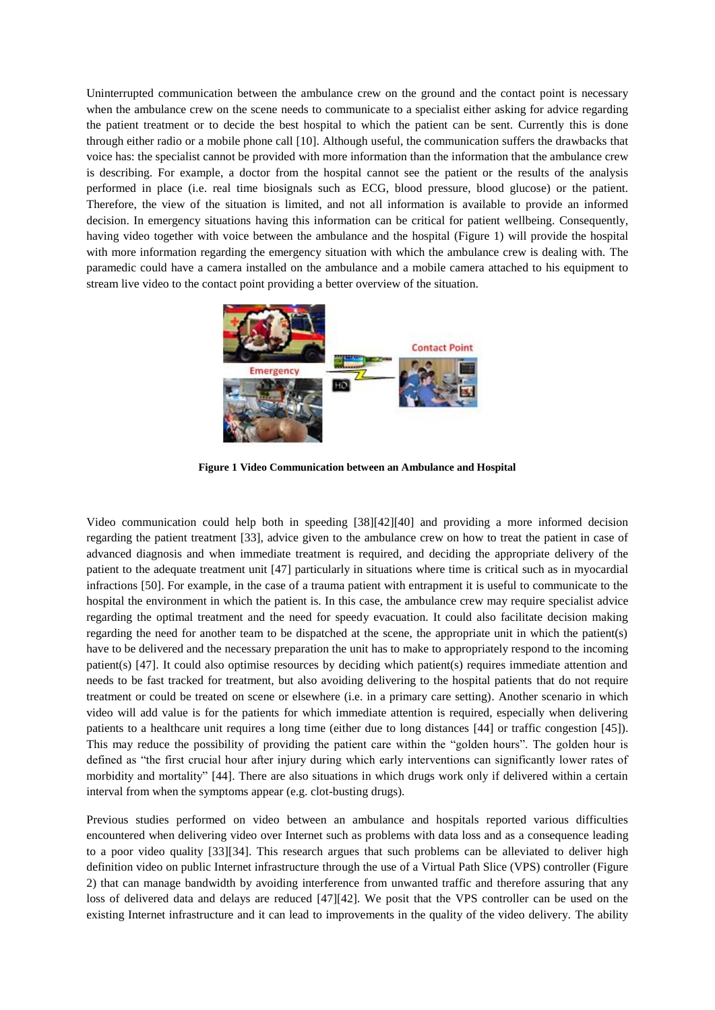Uninterrupted communication between the ambulance crew on the ground and the contact point is necessary when the ambulance crew on the scene needs to communicate to a specialist either asking for advice regarding the patient treatment or to decide the best hospital to which the patient can be sent. Currently this is done through either radio or a mobile phone call [\[10\].](#page-8-9) Although useful, the communication suffers the drawbacks that voice has: the specialist cannot be provided with more information than the information that the ambulance crew is describing. For example, a doctor from the hospital cannot see the patient or the results of the analysis performed in place (i.e. real time biosignals such as ECG, blood pressure, blood glucose) or the patient. Therefore, the view of the situation is limited, and not all information is available to provide an informed decision. In emergency situations having this information can be critical for patient wellbeing. Consequently, having video together with voice between the ambulance and the hospital (Figure 1) will provide the hospital with more information regarding the emergency situation with which the ambulance crew is dealing with. The paramedic could have a camera installed on the ambulance and a mobile camera attached to his equipment to stream live video to the contact point providing a better overview of the situation.



**Figure 1 Video Communication between an Ambulance and Hospital**

Video communication could help both in speeding [\[38\]\[42\]](#page-9-15)[\[40\]](#page-9-13) and providing a more informed decision regarding the patient treatment [\[33\],](#page-9-0) advice given to the ambulance crew on how to treat the patient in case of advanced diagnosis and when immediate treatment is required, and deciding the appropriate delivery of the patient to the adequate treatment unit [\[47\]](#page-10-0) particularly in situations where time is critical such as in myocardial infractions [\[50\].](#page-10-4) For example, in the case of a trauma patient with entrapment it is useful to communicate to the hospital the environment in which the patient is. In this case, the ambulance crew may require specialist advice regarding the optimal treatment and the need for speedy evacuation. It could also facilitate decision making regarding the need for another team to be dispatched at the scene, the appropriate unit in which the patient(s) have to be delivered and the necessary preparation the unit has to make to appropriately respond to the incoming patient(s) [\[47\].](#page-10-0) It could also optimise resources by deciding which patient(s) requires immediate attention and needs to be fast tracked for treatment, but also avoiding delivering to the hospital patients that do not require treatment or could be treated on scene or elsewhere (i.e. in a primary care setting). Another scenario in which video will add value is for the patients for which immediate attention is required, especially when delivering patients to a healthcare unit requires a long time (either due to long distances [\[44\]](#page-10-2) or traffic congestion [\[45\]\)](#page-10-5). This may reduce the possibility of providing the patient care within the "golden hours". The golden hour is defined as "the first crucial hour after injury during which early interventions can significantly lower rates of morbidity and mortality" [\[44\].](#page-10-2) There are also situations in which drugs work only if delivered within a certain interval from when the symptoms appear (e.g. clot-busting drugs).

Previous studies performed on video between an ambulance and hospitals reported various difficulties encountered when delivering video over Internet such as problems with data loss and as a consequence leading to a poor video quality [\[33\]\[34\].](#page-9-0) This research argues that such problems can be alleviated to deliver high definition video on public Internet infrastructure through the use of a Virtual Path Slice (VPS) controller (Figure 2) that can manage bandwidth by avoiding interference from unwanted traffic and therefore assuring that any loss of delivered data and delays are reduced [\[47\]\[42\].](#page-10-0) We posit that the VPS controller can be used on the existing Internet infrastructure and it can lead to improvements in the quality of the video delivery. The ability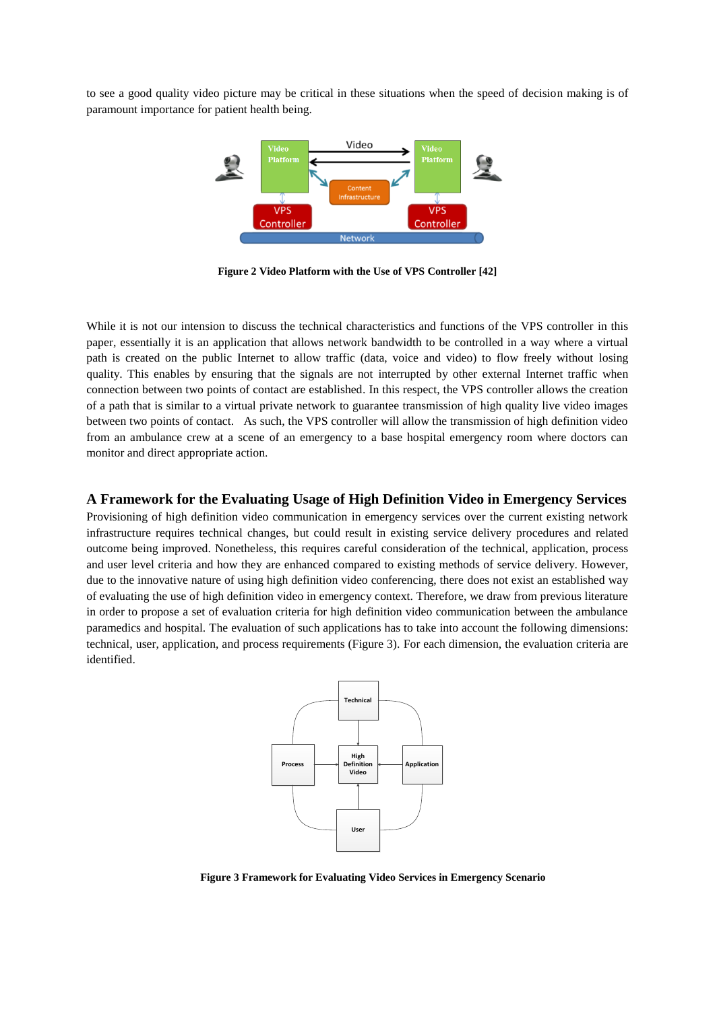to see a good quality video picture may be critical in these situations when the speed of decision making is of paramount importance for patient health being.



**Figure 2 Video Platform with the Use of VPS Controller [\[42\]](#page-9-16)**

While it is not our intension to discuss the technical characteristics and functions of the VPS controller in this paper, essentially it is an application that allows network bandwidth to be controlled in a way where a virtual path is created on the public Internet to allow traffic (data, voice and video) to flow freely without losing quality. This enables by ensuring that the signals are not interrupted by other external Internet traffic when connection between two points of contact are established. In this respect, the VPS controller allows the creation of a path that is similar to a virtual private network to guarantee transmission of high quality live video images between two points of contact. As such, the VPS controller will allow the transmission of high definition video from an ambulance crew at a scene of an emergency to a base hospital emergency room where doctors can monitor and direct appropriate action.

#### **A Framework for the Evaluating Usage of High Definition Video in Emergency Services**

Provisioning of high definition video communication in emergency services over the current existing network infrastructure requires technical changes, but could result in existing service delivery procedures and related outcome being improved. Nonetheless, this requires careful consideration of the technical, application, process and user level criteria and how they are enhanced compared to existing methods of service delivery. However, due to the innovative nature of using high definition video conferencing, there does not exist an established way of evaluating the use of high definition video in emergency context. Therefore, we draw from previous literature in order to propose a set of evaluation criteria for high definition video communication between the ambulance paramedics and hospital. The evaluation of such applications has to take into account the following dimensions: technical, user, application, and process requirements (Figure 3). For each dimension, the evaluation criteria are identified.



**Figure 3 Framework for Evaluating Video Services in Emergency Scenario**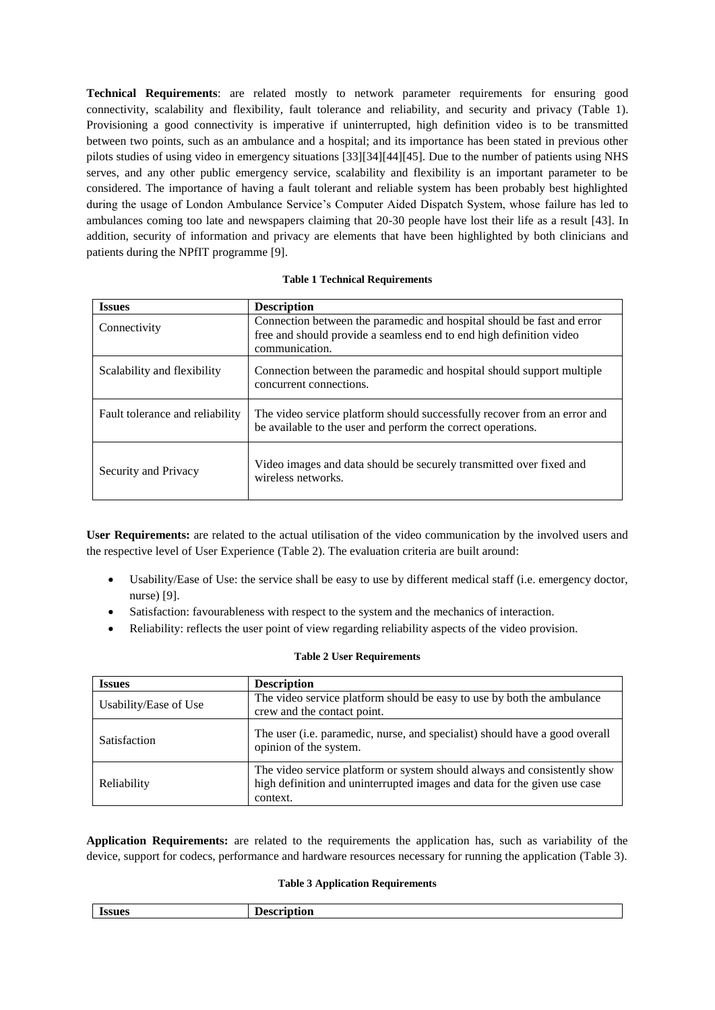**Technical Requirements**: are related mostly to network parameter requirements for ensuring good connectivity, scalability and flexibility, fault tolerance and reliability, and security and privacy (Table 1). Provisioning a good connectivity is imperative if uninterrupted, high definition video is to be transmitted between two points, such as an ambulance and a hospital; and its importance has been stated in previous other pilots studies of using video in emergency situations [\[33\]\[34\]](#page-9-0)[\[44\]\[45\].](#page-10-2) Due to the number of patients using NHS serves, and any other public emergency service, scalability and flexibility is an important parameter to be considered. The importance of having a fault tolerant and reliable system has been probably best highlighted during the usage of London Ambulance Service's Computer Aided Dispatch System, whose failure has led to ambulances coming too late and newspapers claiming that 20-30 people have lost their life as a result [\[43\].](#page-10-6) In addition, security of information and privacy are elements that have been highlighted by both clinicians and patients during the NPfIT programme [\[9\].](#page-8-8)

### **Table 1 Technical Requirements**

| <b>Issues</b>                   | <b>Description</b>                                                                                                                                              |
|---------------------------------|-----------------------------------------------------------------------------------------------------------------------------------------------------------------|
| Connectivity                    | Connection between the paramedic and hospital should be fast and error<br>free and should provide a seamless end to end high definition video<br>communication. |
| Scalability and flexibility     | Connection between the paramedic and hospital should support multiple<br>concurrent connections.                                                                |
| Fault tolerance and reliability | The video service platform should successfully recover from an error and<br>be available to the user and perform the correct operations.                        |
| Security and Privacy            | Video images and data should be securely transmitted over fixed and<br>wireless networks.                                                                       |

**User Requirements:** are related to the actual utilisation of the video communication by the involved users and the respective level of User Experience (Table 2). The evaluation criteria are built around:

- Usability/Ease of Use: the service shall be easy to use by different medical staff (i.e. emergency doctor, nurse) [\[9\].](#page-8-8)
- Satisfaction: favourableness with respect to the system and the mechanics of interaction.
- Reliability: reflects the user point of view regarding reliability aspects of the video provision.

## **Table 2 User Requirements**

| <b>Issues</b>         | <b>Description</b>                                                                                                                                               |
|-----------------------|------------------------------------------------------------------------------------------------------------------------------------------------------------------|
| Usability/Ease of Use | The video service platform should be easy to use by both the ambulance<br>crew and the contact point.                                                            |
| <b>Satisfaction</b>   | The user (i.e. paramedic, nurse, and specialist) should have a good overall<br>opinion of the system.                                                            |
| Reliability           | The video service platform or system should always and consistently show<br>high definition and uninterrupted images and data for the given use case<br>context. |

**Application Requirements:** are related to the requirements the application has, such as variability of the device, support for codecs, performance and hardware resources necessary for running the application (Table 3).

### **Table 3 Application Requirements**

| --<br>Issues<br>$-100 - 100 = 100$ | ion<br>---<br>. |
|------------------------------------|-----------------|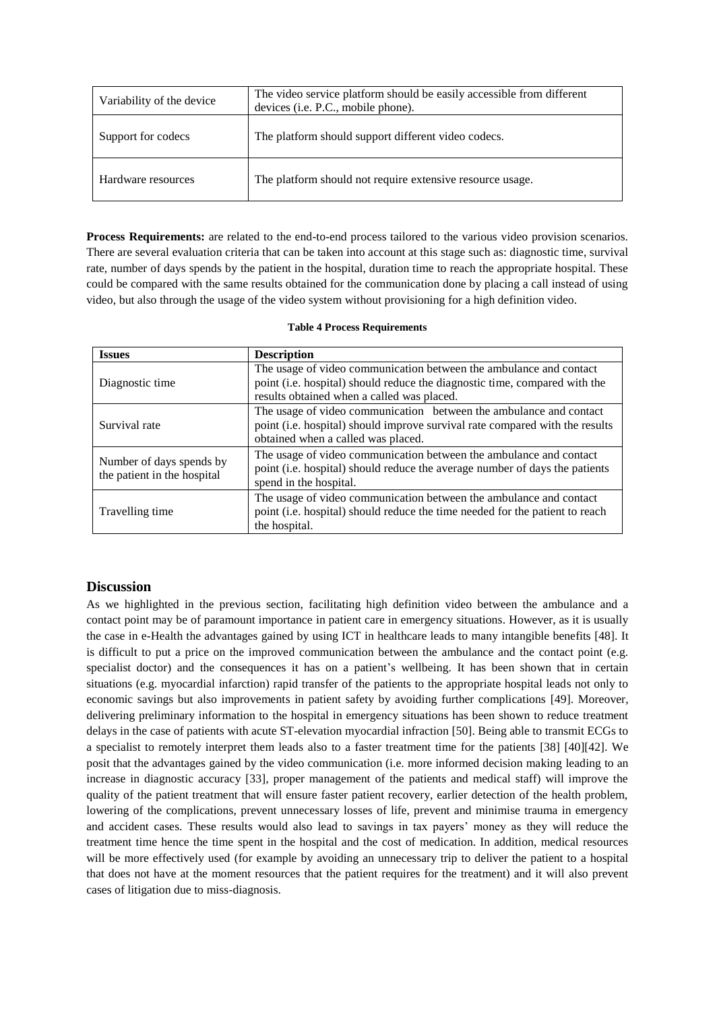| Variability of the device | The video service platform should be easily accessible from different<br>devices (i.e. P.C., mobile phone). |
|---------------------------|-------------------------------------------------------------------------------------------------------------|
| Support for codecs        | The platform should support different video codecs.                                                         |
| Hardware resources        | The platform should not require extensive resource usage.                                                   |

**Process Requirements:** are related to the end-to-end process tailored to the various video provision scenarios. There are several evaluation criteria that can be taken into account at this stage such as: diagnostic time, survival rate, number of days spends by the patient in the hospital, duration time to reach the appropriate hospital. These could be compared with the same results obtained for the communication done by placing a call instead of using video, but also through the usage of the video system without provisioning for a high definition video.

#### **Table 4 Process Requirements**

| <b>Issues</b>                                           | <b>Description</b>                                                                                                                                                                             |
|---------------------------------------------------------|------------------------------------------------------------------------------------------------------------------------------------------------------------------------------------------------|
| Diagnostic time                                         | The usage of video communication between the ambulance and contact<br>point (i.e. hospital) should reduce the diagnostic time, compared with the<br>results obtained when a called was placed. |
| Survival rate                                           | The usage of video communication between the ambulance and contact<br>point (i.e. hospital) should improve survival rate compared with the results<br>obtained when a called was placed.       |
| Number of days spends by<br>the patient in the hospital | The usage of video communication between the ambulance and contact<br>point (i.e. hospital) should reduce the average number of days the patients<br>spend in the hospital.                    |
| Travelling time                                         | The usage of video communication between the ambulance and contact<br>point (i.e. hospital) should reduce the time needed for the patient to reach<br>the hospital.                            |

## **Discussion**

As we highlighted in the previous section, facilitating high definition video between the ambulance and a contact point may be of paramount importance in patient care in emergency situations. However, as it is usually the case in e-Health the advantages gained by using ICT in healthcare leads to many intangible benefits [\[48\].](#page-10-7) It is difficult to put a price on the improved communication between the ambulance and the contact point (e.g. specialist doctor) and the consequences it has on a patient's wellbeing. It has been shown that in certain situations (e.g. myocardial infarction) rapid transfer of the patients to the appropriate hospital leads not only to economic savings but also improvements in patient safety by avoiding further complications [\[49\].](#page-10-1) Moreover, delivering preliminary information to the hospital in emergency situations has been shown to reduce treatment delays in the case of patients with acute ST-elevation myocardial infraction [\[50\].](#page-10-4) Being able to transmit ECGs to a specialist to remotely interpret them leads also to a faster treatment time for the patients [\[38\]](#page-9-15) [\[40\]\[42\].](#page-9-13) We posit that the advantages gained by the video communication (i.e. more informed decision making leading to an increase in diagnostic accuracy [\[33\],](#page-9-0) proper management of the patients and medical staff) will improve the quality of the patient treatment that will ensure faster patient recovery, earlier detection of the health problem, lowering of the complications, prevent unnecessary losses of life, prevent and minimise trauma in emergency and accident cases. These results would also lead to savings in tax payers' money as they will reduce the treatment time hence the time spent in the hospital and the cost of medication. In addition, medical resources will be more effectively used (for example by avoiding an unnecessary trip to deliver the patient to a hospital that does not have at the moment resources that the patient requires for the treatment) and it will also prevent cases of litigation due to miss-diagnosis.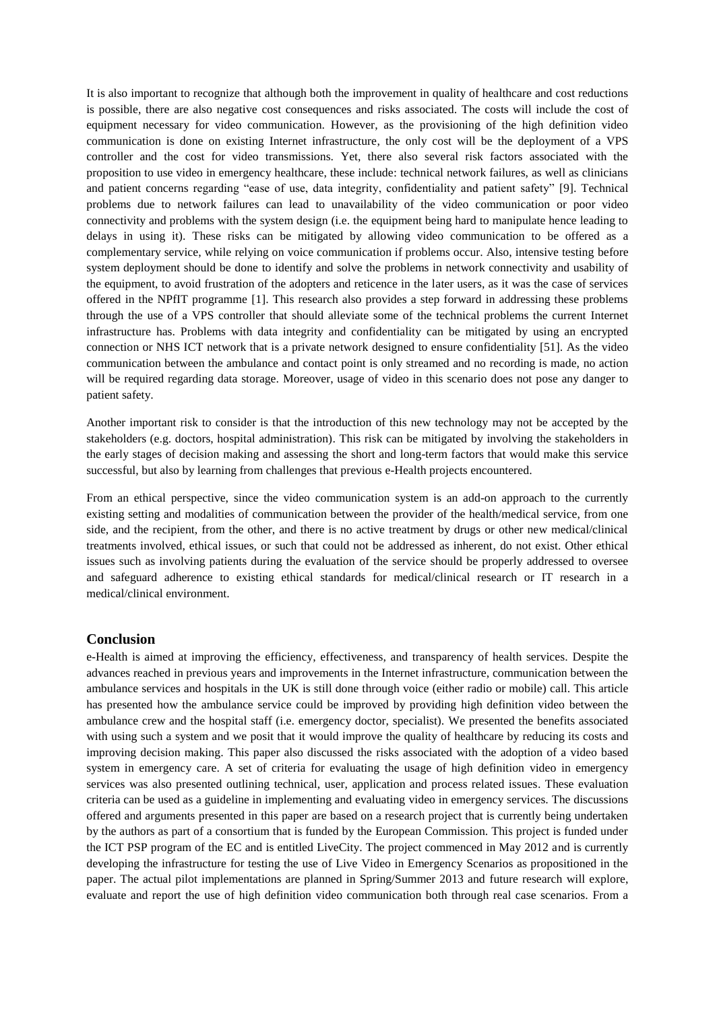It is also important to recognize that although both the improvement in quality of healthcare and cost reductions is possible, there are also negative cost consequences and risks associated. The costs will include the cost of equipment necessary for video communication. However, as the provisioning of the high definition video communication is done on existing Internet infrastructure, the only cost will be the deployment of a VPS controller and the cost for video transmissions. Yet, there also several risk factors associated with the proposition to use video in emergency healthcare, these include: technical network failures, as well as clinicians and patient concerns regarding "ease of use, data integrity, confidentiality and patient safety" [\[9\].](#page-8-8) Technical problems due to network failures can lead to unavailability of the video communication or poor video connectivity and problems with the system design (i.e. the equipment being hard to manipulate hence leading to delays in using it). These risks can be mitigated by allowing video communication to be offered as a complementary service, while relying on voice communication if problems occur. Also, intensive testing before system deployment should be done to identify and solve the problems in network connectivity and usability of the equipment, to avoid frustration of the adopters and reticence in the later users, as it was the case of services offered in the NPfIT programme [\[1\].](#page-8-0) This research also provides a step forward in addressing these problems through the use of a VPS controller that should alleviate some of the technical problems the current Internet infrastructure has. Problems with data integrity and confidentiality can be mitigated by using an encrypted connection or NHS ICT network that is a private network designed to ensure confidentiality [\[51\].](#page-10-8) As the video communication between the ambulance and contact point is only streamed and no recording is made, no action will be required regarding data storage. Moreover, usage of video in this scenario does not pose any danger to patient safety.

Another important risk to consider is that the introduction of this new technology may not be accepted by the stakeholders (e.g. doctors, hospital administration). This risk can be mitigated by involving the stakeholders in the early stages of decision making and assessing the short and long-term factors that would make this service successful, but also by learning from challenges that previous e-Health projects encountered.

From an ethical perspective, since the video communication system is an add-on approach to the currently existing setting and modalities of communication between the provider of the health/medical service, from one side, and the recipient, from the other, and there is no active treatment by drugs or other new medical/clinical treatments involved, ethical issues, or such that could not be addressed as inherent, do not exist. Other ethical issues such as involving patients during the evaluation of the service should be properly addressed to oversee and safeguard adherence to existing ethical standards for medical/clinical research or IT research in a medical/clinical environment.

## **Conclusion**

e-Health is aimed at improving the efficiency, effectiveness, and transparency of health services. Despite the advances reached in previous years and improvements in the Internet infrastructure, communication between the ambulance services and hospitals in the UK is still done through voice (either radio or mobile) call. This article has presented how the ambulance service could be improved by providing high definition video between the ambulance crew and the hospital staff (i.e. emergency doctor, specialist). We presented the benefits associated with using such a system and we posit that it would improve the quality of healthcare by reducing its costs and improving decision making. This paper also discussed the risks associated with the adoption of a video based system in emergency care. A set of criteria for evaluating the usage of high definition video in emergency services was also presented outlining technical, user, application and process related issues. These evaluation criteria can be used as a guideline in implementing and evaluating video in emergency services. The discussions offered and arguments presented in this paper are based on a research project that is currently being undertaken by the authors as part of a consortium that is funded by the European Commission. This project is funded under the ICT PSP program of the EC and is entitled LiveCity. The project commenced in May 2012 and is currently developing the infrastructure for testing the use of Live Video in Emergency Scenarios as propositioned in the paper. The actual pilot implementations are planned in Spring/Summer 2013 and future research will explore, evaluate and report the use of high definition video communication both through real case scenarios. From a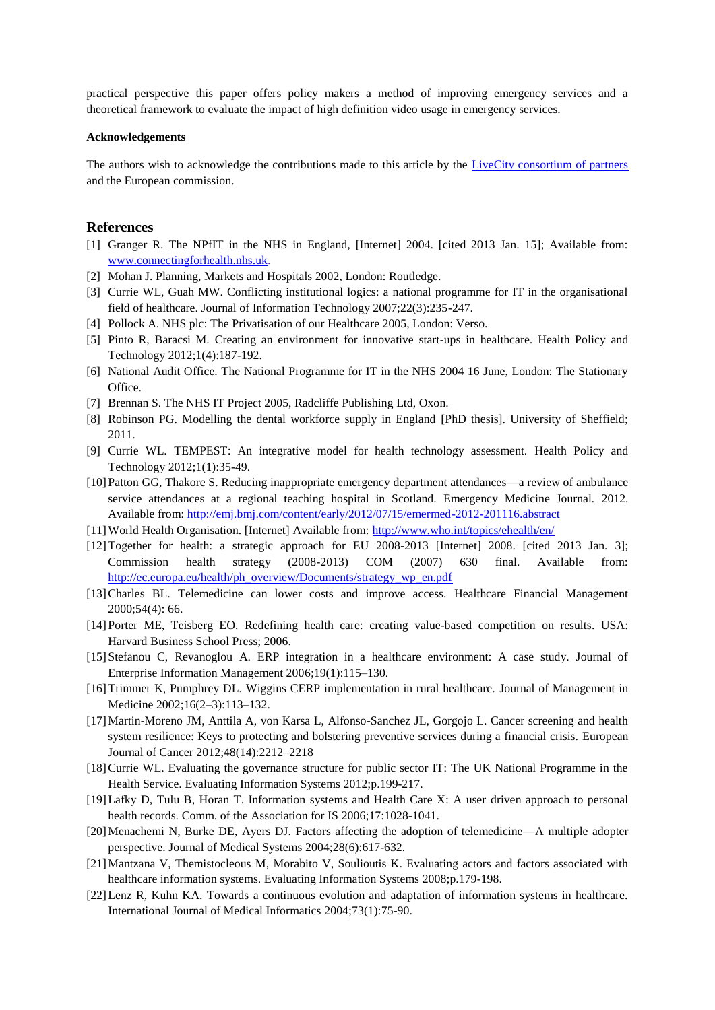practical perspective this paper offers policy makers a method of improving emergency services and a theoretical framework to evaluate the impact of high definition video usage in emergency services.

#### **Acknowledgements**

The authors wish to acknowledge the contributions made to this article by the [LiveCity consortium of partners](http://ec.europa.eu/information_society/apps/projects/factsheet/index.cfm?project_ref=297291) and the European commission.

### **References**

- <span id="page-8-0"></span>[1] Granger R. The NPfIT in the NHS in England, [Internet] 2004. [cited 2013 Jan. 15]; Available from: [www.connectingforhealth.nhs.uk.](http://www.connectingforhealth.nhs.uk/)
- <span id="page-8-1"></span>[2] Mohan J. Planning, Markets and Hospitals 2002, London: Routledge.
- <span id="page-8-2"></span>[3] Currie WL, Guah MW. Conflicting institutional logics: a national programme for IT in the organisational field of healthcare. Journal of Information Technology 2007;22(3):235-247.
- <span id="page-8-3"></span>[4] Pollock A. NHS plc: The Privatisation of our Healthcare 2005, London: Verso.
- <span id="page-8-4"></span>[5] Pinto R, Baracsi M. Creating an environment for innovative start-ups in healthcare. Health Policy and Technology 2012;1(4):187-192.
- <span id="page-8-5"></span>[6] National Audit Office. The National Programme for IT in the NHS 2004 16 June, London: The Stationary Office.
- <span id="page-8-6"></span>[7] Brennan S. The NHS IT Project 2005, Radcliffe Publishing Ltd, Oxon.
- <span id="page-8-7"></span>[8] Robinson PG. Modelling the dental workforce supply in England [PhD thesis]. University of Sheffield; 2011.
- <span id="page-8-8"></span>[9] Currie WL. TEMPEST: An integrative model for health technology assessment. Health Policy and Technology 2012;1(1):35-49.
- <span id="page-8-9"></span>[10]Patton GG, Thakore S. Reducing inappropriate emergency department attendances—a review of ambulance service attendances at a regional teaching hospital in Scotland. Emergency Medicine Journal*.* 2012. Available from:<http://emj.bmj.com/content/early/2012/07/15/emermed-2012-201116.abstract>
- <span id="page-8-12"></span>[11]World Health Organisation. [Internet] Available from:<http://www.who.int/topics/ehealth/en/>
- <span id="page-8-13"></span>[12]Together for health: a strategic approach for EU 2008-2013 [Internet] 2008. [cited 2013 Jan. 3]; Commission health strategy (2008-2013) COM (2007) 630 final. Available from: [http://ec.europa.eu/health/ph\\_overview/Documents/strategy\\_wp\\_en.pdf](http://ec.europa.eu/health/ph_overview/Documents/strategy_wp_en.pdf)
- <span id="page-8-10"></span>[13]Charles BL. Telemedicine can lower costs and improve access. Healthcare Financial Management 2000;54(4): 66.
- [14]Porter ME, Teisberg EO. Redefining health care: creating value-based competition on results. USA: Harvard Business School Press; 2006.
- <span id="page-8-11"></span>[15]Stefanou C, Revanoglou A. ERP integration in a healthcare environment: A case study. Journal of Enterprise Information Management 2006;19(1):115–130.
- [16]Trimmer K, Pumphrey DL. Wiggins CERP implementation in rural healthcare. Journal of Management in Medicine 2002;16(2–3):113–132.
- [17]Martin-Moreno JM, Anttila A, von Karsa L, Alfonso-Sanchez JL, Gorgojo L. Cancer screening and health system resilience: Keys to protecting and bolstering preventive services during a financial crisis. European Journal of Cancer 2012;48(14):2212–2218
- <span id="page-8-14"></span>[18]Currie WL. Evaluating the governance structure for public sector IT: The UK National Programme in the Health Service. Evaluating Information Systems 2012;p.199-217.
- [19]Lafky D, Tulu B, Horan T. Information systems and Health Care X: A user driven approach to personal health records. Comm. of the Association for IS 2006;17:1028-1041.
- <span id="page-8-15"></span>[20] Menachemi N, Burke DE, Ayers DJ. Factors affecting the adoption of telemedicine—A multiple adopter perspective. Journal of Medical Systems 2004;28(6):617-632.
- <span id="page-8-16"></span>[21]Mantzana V, Themistocleous M, Morabito V, Soulioutis K. Evaluating actors and factors associated with healthcare information systems. Evaluating Information Systems 2008;p.179-198.
- <span id="page-8-17"></span>[22]Lenz R, Kuhn KA. Towards a continuous evolution and adaptation of information systems in healthcare. International Journal of Medical Informatics 2004;73(1):75-90.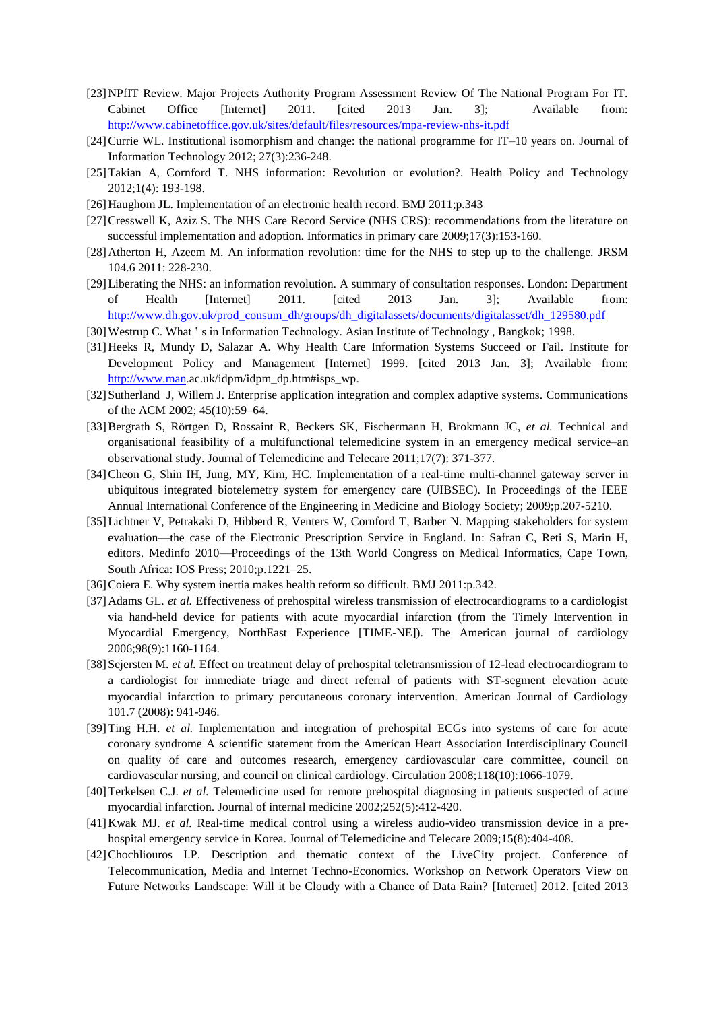- <span id="page-9-1"></span>[23]NPfIT Review. Major Projects Authority Program Assessment Review Of The National Program For IT. Cabinet Office [Internet] 2011. [cited 2013 Jan. 3]; Available from: <http://www.cabinetoffice.gov.uk/sites/default/files/resources/mpa-review-nhs-it.pdf>
- <span id="page-9-2"></span>[24]Currie WL. Institutional isomorphism and change: the national programme for IT–10 years on. Journal of Information Technology 2012; 27(3):236-248.
- <span id="page-9-3"></span>[25]Takian A, Cornford T. NHS information: Revolution or evolution?. Health Policy and Technology 2012;1(4): 193-198.
- <span id="page-9-4"></span>[26]Haughom JL. Implementation of an electronic health record. BMJ 2011;p.343
- [27] Cresswell K, Aziz S. The NHS Care Record Service (NHS CRS): recommendations from the literature on successful implementation and adoption. Informatics in primary care 2009;17(3):153-160.
- <span id="page-9-5"></span>[28]Atherton H, Azeem M. An information revolution: time for the NHS to step up to the challenge. JRSM 104.6 2011: 228-230.
- <span id="page-9-6"></span>[29]Liberating the NHS: an information revolution. A summary of consultation responses. London: Department of Health [Internet] 2011. [cited 2013 Jan. 3]; Available from: [http://www.dh.gov.uk/prod\\_consum\\_dh/groups/dh\\_digitalassets/documents/digitalasset/dh\\_129580.pdf](http://www.dh.gov.uk/prod_consum_dh/groups/dh_digitalassets/documents/digitalasset/dh_129580.pdf)
- <span id="page-9-7"></span>[30] Westrup C. What 's in Information Technology. Asian Institute of Technology, Bangkok; 1998.
- [31] Heeks R, Mundy D, Salazar A. Why Health Care Information Systems Succeed or Fail. Institute for Development Policy and Management [Internet] 1999. [cited 2013 Jan. 3]; Available from: [http://www.man.a](http://www.man/)c.uk/idpm/idpm\_dp.htm#isps\_wp.
- <span id="page-9-8"></span>[32] Sutherland J, Willem J. Enterprise application integration and complex adaptive systems. Communications of the ACM 2002; 45(10):59–64.
- <span id="page-9-0"></span>[33]Bergrath S, Rörtgen D, Rossaint R, Beckers SK, Fischermann H, Brokmann JC, *et al.* Technical and organisational feasibility of a multifunctional telemedicine system in an emergency medical service–an observational study. Journal of Telemedicine and Telecare 2011;17(7): 371-377.
- [34]Cheon G, Shin IH, Jung, MY, Kim, HC. Implementation of a real-time multi-channel gateway server in ubiquitous integrated biotelemetry system for emergency care (UIBSEC). In Proceedings of the IEEE Annual International Conference of the Engineering in Medicine and Biology Society; 2009;p.207-5210.
- <span id="page-9-9"></span>[35]Lichtner V, Petrakaki D, Hibberd R, Venters W, Cornford T, Barber N. Mapping stakeholders for system evaluation—the case of the Electronic Prescription Service in England. In: Safran C, Reti S, Marin H, editors. Medinfo 2010—Proceedings of the 13th World Congress on Medical Informatics, Cape Town, South Africa: IOS Press; 2010;p.1221–25.
- <span id="page-9-10"></span>[36]Coiera E. Why system inertia makes health reform so difficult. BMJ 2011:p.342.
- <span id="page-9-11"></span>[37] Adams GL. *et al.* Effectiveness of prehospital wireless transmission of electrocardiograms to a cardiologist via hand-held device for patients with acute myocardial infarction (from the Timely Intervention in Myocardial Emergency, NorthEast Experience [TIME-NE]). The American journal of cardiology 2006;98(9):1160-1164.
- <span id="page-9-15"></span>[38] Sejersten M. *et al.* Effect on treatment delay of prehospital teletransmission of 12-lead electrocardiogram to a cardiologist for immediate triage and direct referral of patients with ST-segment elevation acute myocardial infarction to primary percutaneous coronary intervention. American Journal of Cardiology 101.7 (2008): 941-946.
- <span id="page-9-12"></span>[39]Ting H.H. *et al.* Implementation and integration of prehospital ECGs into systems of care for acute coronary syndrome A scientific statement from the American Heart Association Interdisciplinary Council on quality of care and outcomes research, emergency cardiovascular care committee, council on cardiovascular nursing, and council on clinical cardiology. Circulation 2008;118(10):1066-1079.
- <span id="page-9-13"></span>[40]Terkelsen C.J. *et al.* Telemedicine used for remote prehospital diagnosing in patients suspected of acute myocardial infarction. Journal of internal medicine 2002;252(5):412-420.
- <span id="page-9-14"></span>[41]Kwak MJ. *et al.* Real-time medical control using a wireless audio-video transmission device in a prehospital emergency service in Korea. Journal of Telemedicine and Telecare 2009;15(8):404-408.
- <span id="page-9-16"></span>[42]Chochliouros I.P. Description and thematic context of the LiveCity project. Conference of Telecommunication, Media and Internet Techno-Economics. Workshop on Network Operators View on Future Networks Landscape: Will it be Cloudy with a Chance of Data Rain? [Internet] 2012. [cited 2013